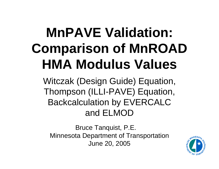# **MnPAVE Validation: Comparison of MnROAD HMA Modulus Values**

Witczak (Design Guide) Equation, Thompson (ILLI-PAVE) Equation, Backcalculation by EVERCALC and ELMOD

Bruce Tanquist, P.E. Minnesota Department of Transportation June 20, 2005

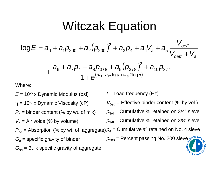## Witczak Equation

$$
log E = a_0 + a_1 p_{200} + a_2 (p_{200})^2 + a_3 p_4 + a_4 V_a + a_5 \frac{V_{\text{bef}}}{V_{\text{bef}}} + V_a
$$
  
+ 
$$
\frac{a_6 + a_7 p_4 + a_8 p_{3/8} + a_9 (p_{3/8})^2 + a_{10} p_{3/4}}{1 + e^{(a_{11} + a_{12} \log f + a_{13} 2 \log \eta)}}
$$

Where:

*E* = 10-5 x Dynamic Modulus (psi)  $\eta = 10^{-8}$  x Dynamic Viscosity (cP)  $P_b^{}$  = binder content (% by wt. of mix) *Va* = Air voids (% by volume)  $P^{}_{ba}$  = Absorption (% by wt. of  $\,$  aggregate) $\,\rho_{4}$  = Cumulative % retained on No. 4 sieve  $G_b$  = specific gravity of binder  $G_{\mathrm{s}b}$  = Bulk specific gravity of aggregate *f* = Load frequency (Hz)  $V_{\mathit{bef}}$ = Effective binder content (% by vol.)  $\rho_{\scriptscriptstyle 3\!/\!4}^{}$  = Cumulative % retained on 3/4" sieve  $\rho_{\scriptscriptstyle 3/8}^{}$  = Cumulative % retained on 3/8" sieve  $\rho_{200}^{}$  = Percent passing No. 200 sieve $_2$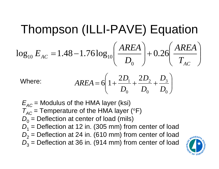#### Thompson (ILLI-PAVE) Equation ⎟  $\overline{\phantom{a}}$  $\int$ ⎞ ⎜  $\overline{\phantom{a}}$  $\setminus$  $\int$  $|$  $\overline{\phantom{a}}$  $\int$ ⎞  $\begin{array}{c} \hline \rule{0pt}{2.5ex} \\[-2pt] \rule{0pt}{2.5ex} \end{array}$ ⎜  $\setminus$  $\Big($ = *AC* $AC$   $A$   $C$   $A$   $C$   $A$   $D_0$   $T$   $D_0$   $T$   $T$ *AREA D AREA* $\log_{10} E_{AC} = 1.48 - 1.76 \log_{10} \frac{24.64}{\pi} + 0.26$ 0 $10 \text{ } \nu_{AC}$  - 1.10 1.10105 $10$

Where: 
$$
AREA = 6\left(1 + \frac{2D_1}{D_0} + \frac{2D_2}{D_0} + \frac{D_3}{D_0}\right)
$$

 $E^{}_{{\rm AC}}$  = Modulus of the HMA layer (ksi)  $T_{AC}$  = Temperature of the HMA layer (°F)  $D_{\rm 0}$  = Deflection at center of load (mils) *D*1 = Deflection at 12 in. (305 mm) from center of load *D*2 = Deflection at 24 in. (610 mm) from center of load  $D^{}_{3}$  = Deflection at 36 in. (914 mm) from center of load

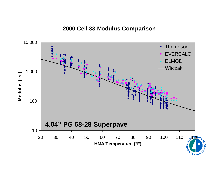#### **2000 Cell 33 Modulus Comparison**

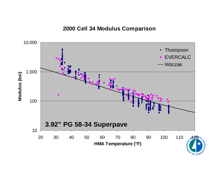#### **2000 Cell 34 Modulus Comparison**

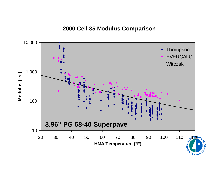### **2000 Cell 35 Modulus Comparison**

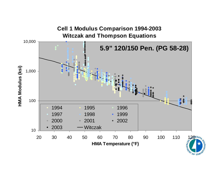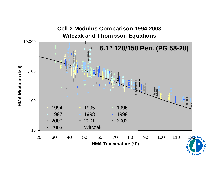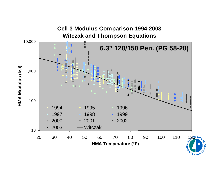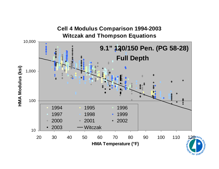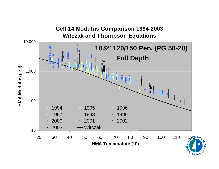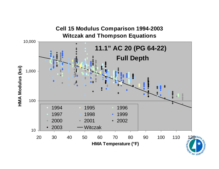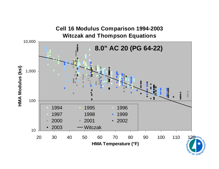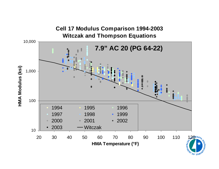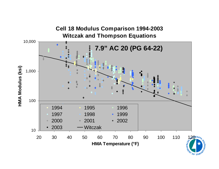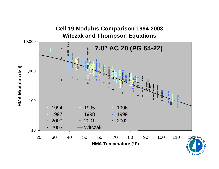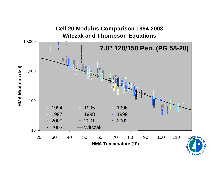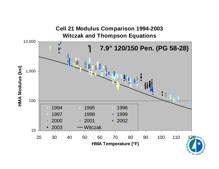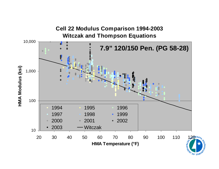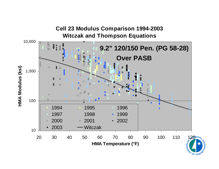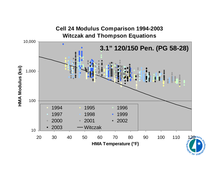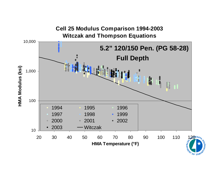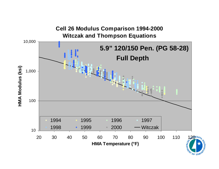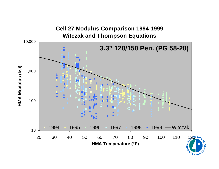### **Cell 27 Modulus Comparison 1994-1999 Witczak and Thompson Equations** 10,000 **3.3" 120/150 Pen. (PG 58-28)**HMA Modulus (ksi) **HMA Modulus (ksi)** 1,000 1001995 1996 1997 1998 1999 Witczak 199410 20 30 40 50 60 70 80 90 100 110 120 **HMA Temperature (°F)**

**RAY OF TRANS**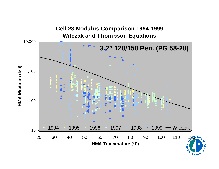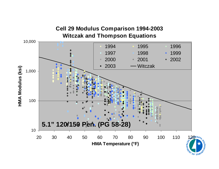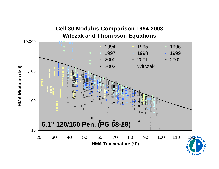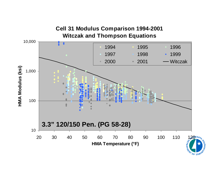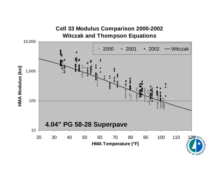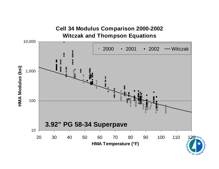